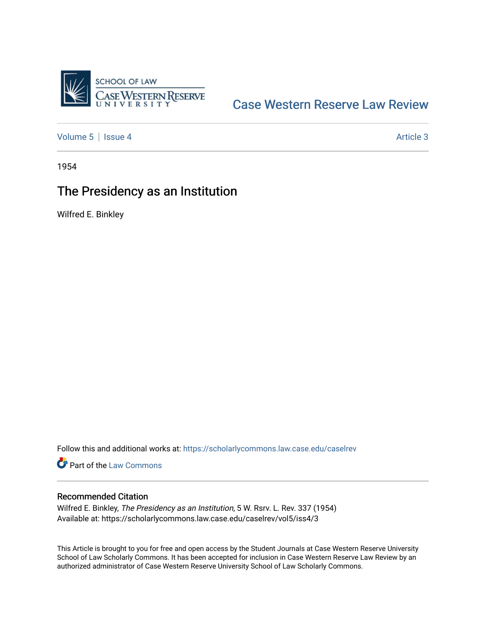

## [Case Western Reserve Law Review](https://scholarlycommons.law.case.edu/caselrev)

[Volume 5](https://scholarlycommons.law.case.edu/caselrev/vol5) | [Issue 4](https://scholarlycommons.law.case.edu/caselrev/vol5/iss4) Article 3

1954

## The Presidency as an Institution

Wilfred E. Binkley

Follow this and additional works at: [https://scholarlycommons.law.case.edu/caselrev](https://scholarlycommons.law.case.edu/caselrev?utm_source=scholarlycommons.law.case.edu%2Fcaselrev%2Fvol5%2Fiss4%2F3&utm_medium=PDF&utm_campaign=PDFCoverPages)

Part of the [Law Commons](http://network.bepress.com/hgg/discipline/578?utm_source=scholarlycommons.law.case.edu%2Fcaselrev%2Fvol5%2Fiss4%2F3&utm_medium=PDF&utm_campaign=PDFCoverPages)

## Recommended Citation

Wilfred E. Binkley, The Presidency as an Institution, 5 W. Rsrv. L. Rev. 337 (1954) Available at: https://scholarlycommons.law.case.edu/caselrev/vol5/iss4/3

This Article is brought to you for free and open access by the Student Journals at Case Western Reserve University School of Law Scholarly Commons. It has been accepted for inclusion in Case Western Reserve Law Review by an authorized administrator of Case Western Reserve University School of Law Scholarly Commons.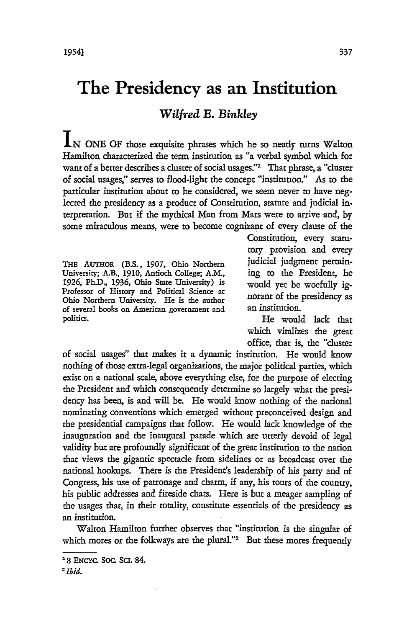## **The Presidency as an Institution**

*Wilfred E. Binkley*

IN ONE OF those exquisite phrases which he so neatly turns Walton Hamilton characterized the term institution as "a verbal symbol which for want of a better describes a cluster of social usages."<sup>1</sup> That phrase, a "cluster of social usages," serves to flood-light the concept "institution." As to the particular institution about to be considered, we seem never to have neglected the presidency as a product of Constitution, statute and judicial **in.** terpretation. But if the mythical Man from Mars were to arrive and, by some miraculous means, were to become cognizant of every clause of the

THE AuTHOR (B.S., 1907, Ohio Northern judicial judgment pertain-University; A.B., 1910, Antioch College; A.M., 1926, Ph.D., **1936,** Ohio State University) is would yet be woefully ig-Professor of History and Political Science at Protessor of Fistory and Political Science at a morant of the presidency as<br>Ohio Northern University. He is the author<br>of several books on American covernment and an institution. of several books on American government and politics. The would lack that the would lack that

Constitution, every statutory provision and every

which vitalizes the great office, that is, the "duster

of social usages" that makes it a dynamic institution. He would know nothing of those extra-legal organizations, the major political parties, which exist on a national scale, above everything else, for the purpose of electing the President and which consequently determine so largely what the presidency has been, is and will be. He would know nothing of the national nominating conventions which emerged without preconceived design and the presidential campaigns that follow. He would lack knowledge of the inauguration and the inaugural parade which are utterly devoid of legal validity but are profoundly significant of the great institution to the nation that views the gigantic spectacle from sidelines or as broadcast over the national hookups. There is the President's leadership of his party and of Congress, his use of patronage and charm, if any, his tours of the country, his public addresses and fireside chats. Here is but a meager sampling of the usages that, in their totality, constitute essentials of the presidency as an institution.

Walton Hamilton further observes that "institution is the singular of which mores or the folkways are the plural."<sup>2</sup> But these mores frequently

**L8 ENcYc.** Soc. ScI. 84.

<sup>&#</sup>x27;ibid.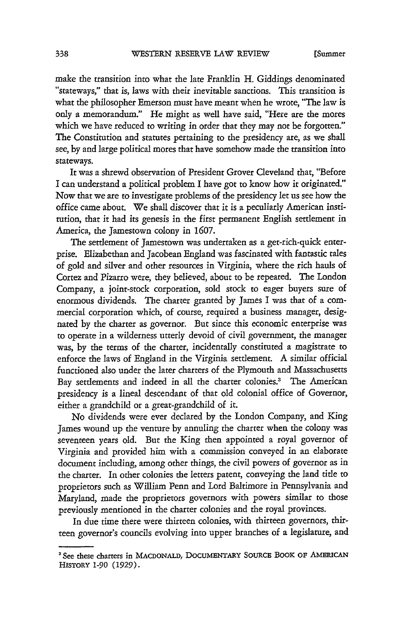[Sumnmer

make the transition into what the late Franklin H. Giddings denominated "stateways," that is, laws with their inevitable sanctions. This transition is what the philosopher Emerson must have meant when he wrote, "The law is only a memorandum." He might as well have said, "Here are the mores which we have reduced to writing in order that they may not be forgotten." The Constitution and statutes pertaining to the presidency are, as we shall see, by and large political mores that have somehow made the transition into stateways.

It was a shrewd observation of President Grover Cleveland that, "Before I can understand a political problem I have got to know how it originated." Now that we are to investigate problems of the presidency let us see how the office came about. We shall discover that it is a peculiarly American institution, that it had its genesis in the first permanent English settlement in America, the Jamestown colony in 1607.

The settlement of Jamestown was undertaken as a get-rich-quick enterprise. Elizabethan and Jacobean England was fascinated with fantastic tales of gold and silver and other resources in Virginia, where the rich hauls of Cortez and Pizarro were, they believed, about to be repeated. The London Company, a joint-stock corporation, sold stock to eager buyers sure of enormous dividends. The charter granted by James I was that of a commercial corporation which, of course, required a business manager, designated by the charter as governor. But since this economic enterprise was to operate in a wilderness utterly devoid of civil government, the manager was, by the terms of the charter, incidentally constituted a magistrate to enforce the laws of England in the Virginia settlement. A similar official functioned also under the later charters of the Plymouth and Massachusetts Bay settlements and indeed in all the charter colonies.<sup>3</sup> The American presidency is a lineal descendant of that old colonial office of Governor, either a grandchild or a great-grandchild of it.

No dividends were ever declared by the London Company, and King James wound up the venture by annuling the charter when the colony was seventeen years old. But the King then appointed a royal governor of Virginia and provided him with a commission conveyed in an elaborate document including, among other things, the civil powers of governor as in the charter. In other colonies the letters patent, conveying the land title to proprietors such as William Penn and Lord Baltimore in Pennsylvania and Maryland, made the proprietors governors with powers similar to those previously mentioned in the charter colonies and the royal provinces.

In due time there were thirteen colonies, with thirteen governors, thirteen governor's councils evolving into upper branches of a legislature, and

<sup>&#</sup>x27;See these charters in MACDONALD, **DOCUMENTARY SOURCE** BOOK OF **AMERICAN HIsToRY** 1-90 (1929).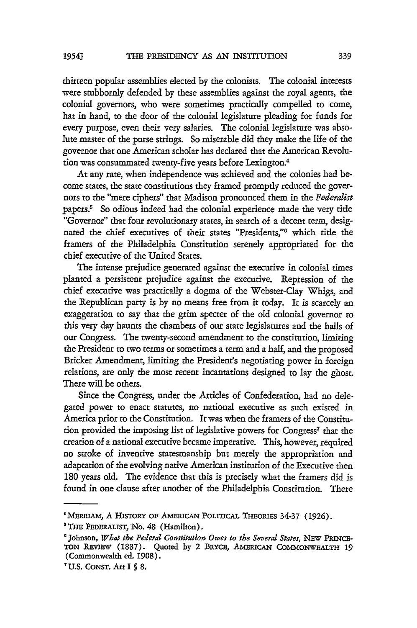thirteen popular assemblies elected by the colonists. The colonial interests were stubbornly defended by these assemblies against the royal agents, the colonial governors, who were sometimes practically compelled to come, hat in hand, to the door of the colonial legislature pleading for funds for every purpose, even their very salaries. The colonial legislature was absolute master of the purse strings. So miserable did they make the life of the governor that one American scholar has declared that the American Revolution was consummated twenty-five years before Lexington.4

At any rate, when independence was achieved and the colonies had become states, the state constitutions they framed promptly reduced the governors to the "mere ciphers" that Madison pronounced them in the *Federalist* papers.<sup>5</sup> So odious indeed had the colonial experience made the very title "Governor" that four revolutionary states, in search of a decent term, designated the chief executives of their states "Presidents,"<sup>6</sup> which title the framers of the Philadelphia Constitution serenely appropriated for the chief executive of the United States.

The intense prejudice generated against the executive in colonial times planted a persistent prejudice against the executive. Repression of the chief executive was practically a dogma of the Webster-Clay Whigs, and the Republican party is by no means free from it today. It is scarcely an exaggeration to say that the grim specter of the old colonial governor to this very day haunts the chambers of our state legislatures and the halls of our Congress. The twenty-second amendment to the constitution, limiting the President to two terms or sometimes a term and a half, and the proposed Bricker Amendment, limiting the President's negotiating power in foreign relations, are only the most recent incantations designed to lay the ghost. There will be others.

Since the Congress, under the Articles of Confederation, had no delegated power to enact statutes, no national executive as such existed in America prior to the Constitution. It was when the framers of the Constitution provided the imposing list of legislative powers for Congress<sup>7</sup> that the creation of a national executive became imperative. This, however, required no stroke of inventive statesmanship but merely the appropriation and adaptation of the evolving native American institution of the Executive then 180 years old. The evidence that this is precisely what the framers did is found in one clause after another of the Philadelphia Constitution. There

**<sup>&#</sup>x27;MERRIAM, A HISTORY OF AMERICAN POLITICAL THEORIES 34-37 (1926).** 

<sup>&#</sup>x27;THE **FEDERALIsT,** No. 48 (Hamilton).

<sup>&#</sup>x27;Johnson, *What the Federal Constitution Owes to the Several States,* NEw PRINcE-**TON REVIEW** (1887). Quoted by 2 BRYCE, **AMEmCAN** COMMONWEALTH **19** (Commonwealth ed. 1908).

<sup>7</sup> U.S. CONST. Art I **§ 8.**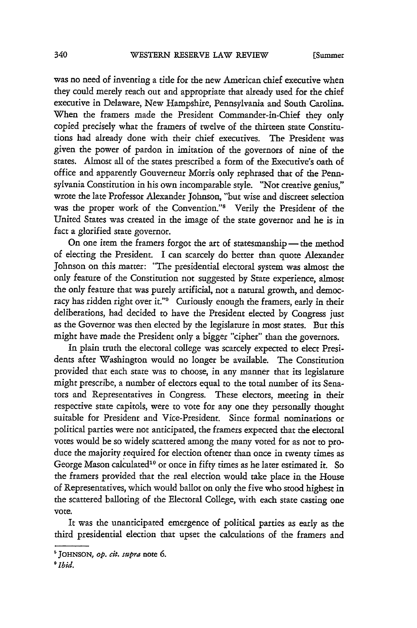[Slimmer

was no need of inventing a tide for the new American chief executive when they could merely reach out and appropriate that already used for the chief executive in Delaware, New Hampshire, Pennsylvania and South Carolina. When the framers made the President Commander-in-Chief they only copied precisely what the framers of twelve of the thirteen state Constitutions had already done with their chief executives. The President was given the power of pardon in imitation of the governors of nine of the states. Almost all of the states prescribed a form of the Executive's oath of office and apparently Gouverneur Morris only rephrased that of the Pennsylvania Constitution in his own incomparable style. "Not creative genius," wrote the late Professor Alexander Johnson, "but wise and discreet selection was the proper work of the Convention."<sup>8</sup> Verily the President of the United States was created in the image of the state governor and he is in fact a glorified state governor.

On one item the framers forgot the art of statesmanship - the method of electing the President. I can scarcely do better than quote Alexander Johnson on this matter: "The presidential electoral system was almost the only feature of the Constitution not suggested by State experience, almost the only feature that was purely artificial, not a natural growth, and democracy has ridden right over it."<sup>9</sup> Curiously enough the framers, early in their deliberations, had decided to have the President elected by Congress just as the Governor was then elected by the legislature in most states. But this might have made the President only a bigger "cipher" than the governors.

In plain truth the electoral college was scarcely expected to elect Presidents after Washington would no longer be available. The Constitution provided that each state was to choose, in any manner that its legislature might prescribe, a number of electors equal to the total number of its Senators and Representatives in Congress. These electors, meeting in their respective state capitols, were to vote for any one they personally thought suitable for President and Vice-President. Since formal nominations or political parties were not anticipated, the framers expected that the electoral votes would be so widely scattered among the many voted for as not to produce the majority required for election oftener than once in twenty times as George Mason calculated<sup>10</sup> or once in fifty times as he later estimated it. So the framers provided that the real election would take place in the House of Representatives, which would ballot on only the five who stood highest in the scattered balloting of the Electoral College, with each state casting one vote.

It was the unanticipated emergence of political parties as early as the third presidential election that upset the calculations of the framers and

JOHNSON, *op. cit. supra* note **6.**

*<sup>&#</sup>x27;Ibid.*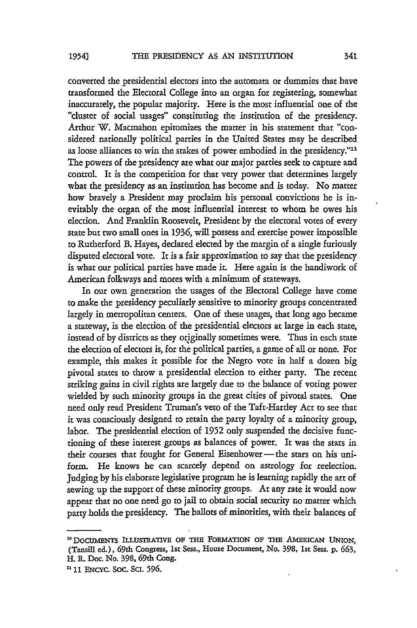converted the presidential electors into the automata or dummies that have transformed the Electoral College into an organ for registering, somewhat inaccurately, the popular majority. Here is the most influential one of the "duster of social usages" constituting the institution of the presidency. Arthur W. Macmahon epitomizes the matter in his statement that "considered nationally political parties in the United States may be described as loose alliances to win the stakes of power embodied in the presidency."'1 The powers of the presidency are what our major parties seek to capture and control. It is the competition for that very power that determines largely what the presidency as an institution has become and is today. No matter how bravely a President may proclaim his personal convictions he is inevitably the organ of the most influential interest to whom he owes his election. And Franklin Roosevelt, President by the electoral votes of every state but two small ones in 1936, will possess and exercise power impossible to Rutherford B. Hayes, declared elected by the margin of **a** single furiously disputed electoral vote. It is a fair approximation to say that the presidency is what our political parties have made it. Here again is the handiwork of American folkways and mores with a minimum of stateways.

In our own generation the usages of the Electoral College have come to make the presidency peculiarly sensitive to minority groups concentrated largely in metropolitan centers. One of these usages, that long ago became a stateway, is the election of the presidential electors at large in each state, instead of by districts as they originally sometimes were. Thus in each state the election of electors is, for the political parties, a game of all or none. For example, this makes it possible for the Negro vote in half a dozen big pivotal states to throw a presidential election to either party. The recent striking gains in civil rights are largely due to the balance of voting power wielded by such minority groups in the great cities of pivotal states. One need only read President Truman's veto of the Taft-Hardey Act to see that it was consciously designed to retain the party loyalty of a minority group, labor. The presidential election of 1952 only suspended the decisive functioning of these interest groups as balances of power. It was the stars in their courses that fought for General Eisenhower - the stars on his uniform. He knows he can scarcely depend on astrology for reelection. Judging by his elaborate legislative program he is learning rapidly the art of sewing up the support of these minority groups. At any rate it would now appear that no one need go to jail to obtain social security no matter which party holds the presidency. The ballots of minorities, with their balances of

<sup>&</sup>quot;DocUMENTs ILLUSTRATIvE **OF TMH FORMATION** OF **THE AMERICAN UNION,** (Tansill ed.), 69th Congress, Ist Sess., House Document, No. 398, 1st Sess. **p.** 663, H. R. Doc. No. 398, 69th Cong.

<sup>11</sup> **ENCYC.** Soc. **Sci. 596.**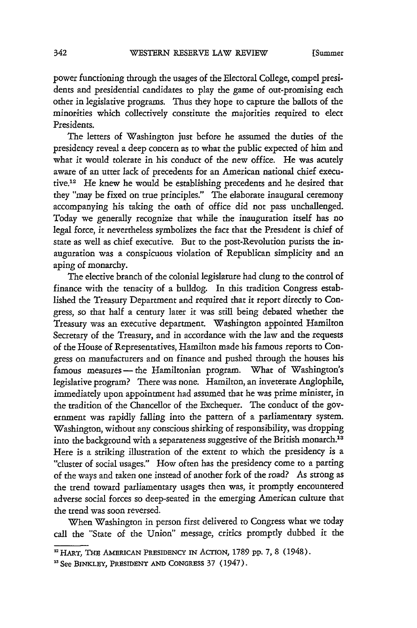power functioning through the usages of the Electoral College, compel presidents and presidential candidates to play the game of out-promising each other in legislative programs. Thus they hope to capture the ballots of the minorities which collectively constitute the majorities required to elect Presidents.

The letters of Washington just before he assumed the duties of the presidency reveal a deep concern as to what the public expected of him and what it would tolerate in his conduct of the new office. He was acutely aware of an utter lack of precedents for an American national chief executive.12 He knew he would be establishing precedents and he desired that they "may be fixed on true principles." The elaborate inaugural ceremony accompanying his taking the oath of office did not pass unchallenged. Today we generally recognize that while the inauguration itself has no legal force, it nevertheless symbolizes the fact that the President is chief of state as well as chief executive. But to the post-Revolution purists the inauguration was a conspicuous violation of Republican simplicity and an aping of monarchy.

The elective branch of the colonial legislature had clung to the control of finance with the tenacity of a bulldog. In this tradition Congress established the Treasury Department and required that it report directly to Congress, so that half a century later it was still being debated whether the Treasury was an executive department. Washington appointed Hamilton Secretary of the Treasury, and in accordance with the law and the requests of the House of Representatives, Hamilton made his famous reports to Congress on manufacturers and on finance and pushed through the houses his famous measures - the Hamiltonian program. What of Washington's legislative program? There was none. Hamilton, an inveterate Anglophile, immediately upon appointment had assumed that he was prime minister, in the tradition of the Chancellor of the Exchequer. The conduct of the government was rapidly falling into the pattern of a parliamentary system. Washington, without any conscious shirking of responsibility, was dropping into the background with a separateness suggestive of the British monarch.<sup>13</sup> Here is a striking illustration of the extent to which the presidency is a "cluster of social usages." How often has the presidency come to a parting of the ways and taken one instead of another fork of the road? As strong as the trend toward parliamentary usages then was, it promptly encountered adverse social forces so deep-seated in the emerging American culture that the trend was soon reversed.

When Washington in person first delivered to Congress what we today call the "State of the Union" message, critics promptly dubbed it the

**<sup>&</sup>quot; HART,** THE **AMERICAN** PRESIDENCY IN ACTION, 1789 **pp.** 7, 8 (1948).

<sup>&</sup>lt;sup>13</sup> See BINKLEY, PRESIDENT AND CONGRESS 37 (1947).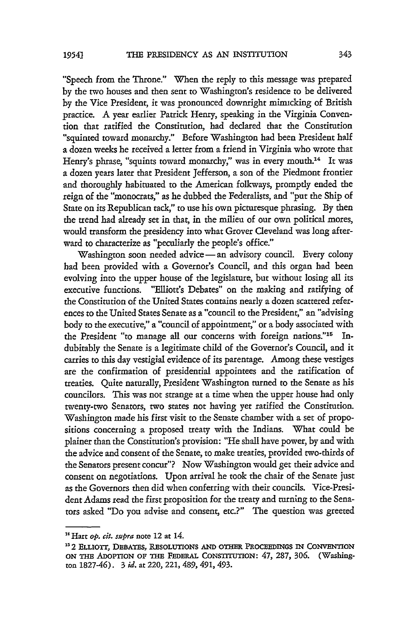"Speech from the Throne." When the reply to this message was prepared by the two houses and then sent to Washington's residence to be delivered by the Vice President, it was pronounced downright mimicking of British practice. A year earlier Patrick Henry, speaking in the Virginia Convention that ratified the Constitution, had declared that the Constitution "squinted toward monarchy." Before Washington had been President half a dozen weeks he received a letter from a friend in Virginia who wrote that Henry's phrase, "squints toward monarchy," was in every mouth.<sup>14</sup> It was a dozen years later that President Jefferson, a son of the Piedmont frontier and thoroughly habituated to the American folkways, promptly ended the reign of the "monocrats," as he dubbed the Federalists, and "put the Ship of State on its Republican tack," to use his own picturesque phrasing. By then the trend had already set in that, in the milieu of our own political mores, would transform the presidency into what Grover Cleveland was long afterward to characterize as "peculiarly the people's office."

Washington soon needed advice - an advisory council. Every colony had been provided with a Governor's Council, and this organ had been evolving into the upper house of the legislature, but without losing all its executive functions. "Elliott's Debates" on the making and ratifying of the Constitution of the United States contains nearly a dozen scattered references to the United States Senate as a "council to the President," an "advising body to the executive," a "council of appointment," or a body associated with the President "to manage all our concerns with foreign nations."<sup>15</sup> Indubitably the Senate is a legitimate child of the Governor's Council, and it carries to this day vestigial evidence of its parentage. Among these vestiges are the confirmation of presidential appointees and the ratification of treaties. Quite naturally, President Washington turned to the Senate as his councilors. This was not strange at a time when the upper house had only twenty-two Senators, two states not having yet ratified the Constitution. Washington made his first visit to the Senate chamber with a set of propositions concerning a proposed treaty with the Indians. What could be plainer than the Constitution's provision: "He shall have power, by and with the advice and consent of the Senate, to make treaties, provided two-thirds of the Senators present concur"? Now Washington would get their advice and consent on negotiations. Upon arrival he took the chair of the Senate just as the Governors then did when conferring with their councils. Vice-President Adams read the first proposition for the treaty and turning to the Senators asked "Do you advise and consent, etc.?" The question was greeted

**<sup>&#</sup>x27;"** Hart *op. cit. supra* note 12 at 14.

<sup>&</sup>quot; 2 **ELLIOTr, DEBATES,** RESOLUTIONS **AND OTHER PROCEEDINGS** IN **CONVENTION ON THE ADOPTION OF THE** FEDERAL CONSTITUTION: 47, 287, 306. (Washington 1827-46). 3 *id.* at 220, 221, 489, 491, 493.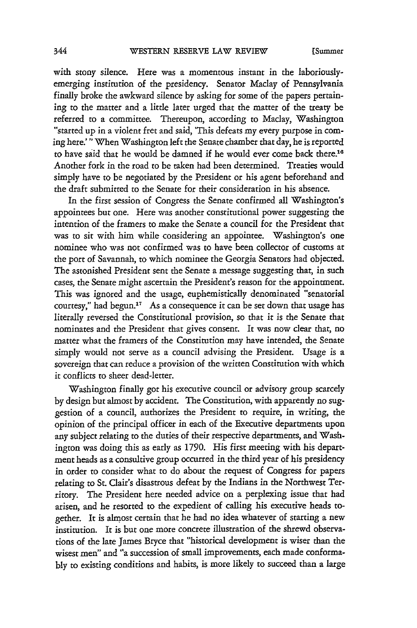with stony silence. Here was a momentous instant in the laboriouslyemerging institution of the presidency. Senator Maclay of Pennsylvania finally broke the awkward silence by asking for some of the papers pertaining to the matter and a little later urged that the matter of the treaty be referred to a committee. Thereupon, according to Maclay, Washington "started up in a violent fret and said, 'This defeats my every purpose in coming here.' "When Washington left the Senate chamber that day, he is reported to have said that he would be damned if he would ever come back there.16 Another fork in the road to be taken had been determined. Treaties would simply have to be negotiated by the President or his agent beforehand and the draft submitted to the Senate for their consideration in his absence.

In the first session of Congress the Senate confirmed all Washington's appointees but one. Here was another constitutional power suggesting the intention of the framers to make the Senate a council for the President that was to sit with him while considering an appointee. Washington's one nominee who was not confirmed was to have been collector of customs at the port of Savannah, to which nominee the Georgia Senators had objected. The astonished President sent the Senate a message suggesting that, in such cases, the Senate might ascertain the President's reason for the appointment. This was ignored and the usage, euphemistically denominated "senatorial courtesy," had begun. $17$  As a consequence it can be set down that usage has literally reversed the Constitutional provision, so that it is the Senate that nominates and the President that gives consent. It was now clear that, no matter what the framers of the Constitution may have intended, the Senate simply would not serve as a council advising the President. Usage is a sovereign that can reduce a provision of the written Constitution with which it conflicts to sheer dead-letter.

Washington finally got his executive council or advisory group scarcely by design but almost by accident. The Constitution, with apparently no suggestion of a council, authorizes the President to require, in writing, the opinion of the principal officer in each of the Executive departments upon any subject relating to the duties of their respective departments, and Washington was doing this as early as 1790. His first meeting with his department heads as a consultive group occurred in the third year of his presidency in order to consider what to do about the request of Congress for papers relating to St. Clair's disastrous defeat by the Indians in the Northwest Territory. The President here needed advice on a perplexing issue that had arisen, and he resorted to the expedient of calling his executive heads together. It is almost certain that he had no idea whatever of starting a new institution. It is but one more concrete illustration of the shrewd observations of the late James Bryce that "historical development is wiser than the wisest men" and "a succession of small improvements, each made conformably to existing conditions and habits, is more likely to succeed than a large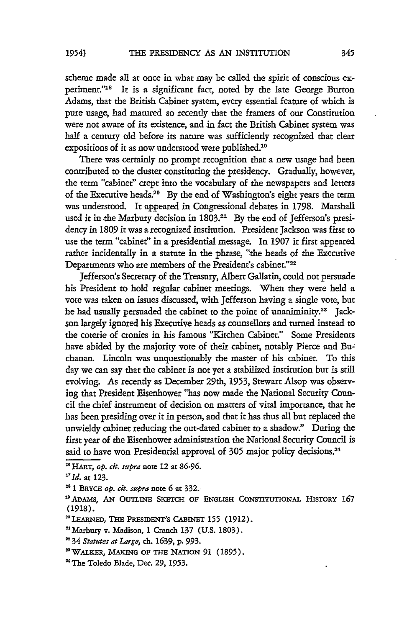scheme made all at once in what may be called the spirit of conscious experiment."<sup>18</sup> It is a significant fact, noted by the late George Burton Adams, that the British Cabinet system, every essential feature of which is pure usage, had matured so recently that the framers of our Constitution were not aware of its existence, and in fact the British Cabinet system was half a century old before its nature was sufficiently recognized that clear expositions of it as now understood were published.<sup>19</sup>

There was certainly no prompt recognition that a new usage had been contributed to the duster constituting the presidency. Gradually, however, the term "cabinet" crept into the vocabulary of the newspapers and letters of the Executive heads.<sup>20</sup> By the end of Washington's eight years the term was understood. It appeared in Congressional debates in 1798. Marshall used it in the Marbury decision in 1803.<sup>21</sup> By the end of Jefferson's presidency in 1809 it was a recognized institution. President Jackson was first to use the term "cabinet" in a presidential message. In 1907 it first appeared rather incidentally in a statute in the phrase, "the heads of the Executive Departments who are members of the President's cabinet."<sup>22</sup>

Jefferson's Secretary of the Treasury, Albert Gallatin, could not persuade his President to hold regular cabinet meetings. When they were held a vote was taken on issues discussed, with Jefferson having a single vote, but he had usually persuaded the cabinet to the point of unaniminity.23 Jackson Largely ignored his Executive heads as counsellors and turned instead to the coterie of cronies in his famous "Kitchen Cabinet" Some Presidents have abided by the majority vote of their cabinet, notably Pierce and Buchanan. Lincoln was unquestionably the master of his cabinet. To this day we can say that the cabinet is not yet a stabilized institution but is still evolving. As recently as December 29th, **1953,** Stewart Alsop was observing that President Eisenhower "has now made the National Security Council the chief instrument of decision on matters of vital importance, that he has been presiding over it in person, and that it has thus all but replaced the unwieldy cabinet reducing the out-dated cabinet to a shadow." During the first year of the Eisenhower administration the National Security Council is said to have won Presidential approval of **305** major policy decisions. <sup>24</sup>

**<sup>&</sup>quot; HART,** *op. cit. supra* note 12 **at** 86-96.

*<sup>17</sup>Id.* **at 123.**

*<sup>&#</sup>x27;1* BRYCE *op. cit. supra* note **6 at 332..**

**<sup>&</sup>quot;ADAMS, .AN** OuTLNE **SKETCH OF ENGLISH CONSTITUTIONAL HisTORy 167 (1918).**

**<sup>&</sup>quot;LEARNED,** THE PREsIDENT's **CABRNET 155 (1912).**

<sup>&</sup>lt;sup>21</sup> Marbury v. Madison, 1 Cranch 137 (U.S. 1803).

*<sup>2&#</sup>x27;34 Statutes at Large,* ch. **1639,** p. *993.*

**<sup>&</sup>quot;WALKR, MAKING OF TIE NATION 91 (1895).**

The Toledo Blade, Dec. **29, 1953.**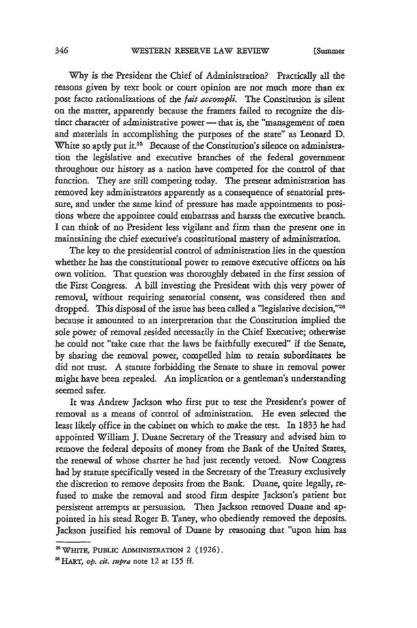Why is the President the Chief of Administration? Practically all the reasons given by text book or court opinion are not much more than ex post facto rationalizations of the *fait accompli.* The Constitution is silent on the matter, apparently because the framers failed to recognize the distinct character of administrative power - that is, the "management of men and materials in accomplishing the purposes of the state" as Leonard D. White so aptly put it.<sup>25</sup> Because of the Constitution's silence on administration the legislative and executive branches of the federal government throughout our history as a nation have competed for the control of that function. They are still competing today. The present administration has removed key administrators apparently as a consequence of senatorial pressure, and under the same kind of pressure has made appointments to positions where the appointee could embarrass and harass the executive branch. I can think of no President less vigilant and firm than the present one in maintaining the chief executive's constitutional mastery of administration.

The key to the presidential control of administration lies in the question whether he has the constitutional power to remove executive officers on his own volition. That question was thoroughly debated in the first session of the First Congress. A bill investing the President with this very power of removal, without requiring senatorial consent, was considered then and dropped. This disposal of the issue has been called a "legislative decision,"<sup>26</sup> because it amounted to an interpretation that the Constitution implied the sole power of removal resided necessarily in the Chief Executive; otherwise he could not "take care that the laws be faithfully executed" **if** the Senate, by sharing the removal power, compelled him to retain subordinates he did not trust. A statute forbidding the Senate to share in removal power might have been repealed. An implication or a gentleman's understanding seemed safer.

It was Andrew Jackson who first put to test the President's power of removal as a means of control of administration. He even selected the least likely office in the cabinet on which to make the test. In 1833 he had appointed William J. Duane Secretary of the Treasury and advised him to remove the federal deposits of money from the Bank of the United States, the renewal of whose charter he had just recently vetoed. Now Congress had by statute specifically vested in the Secretary of the Treasury exclusively the discretion to remove deposits from the Bank. Duane, quite legally, refused to make the removal and stood firm despite Jackson's patient but persistent attempts at persuasion. Then Jackson removed Duane and appointed in his stead Roger B. Taney, who obediently removed the deposits. Jackson justified his removal of Duane by reasoning that "upon him has

WHITE, PUBLIc ADMINISTRATION 2 (1926).

<sup>&#</sup>x27;HART, *op. cit. supra* note 12 at *155* **ff.**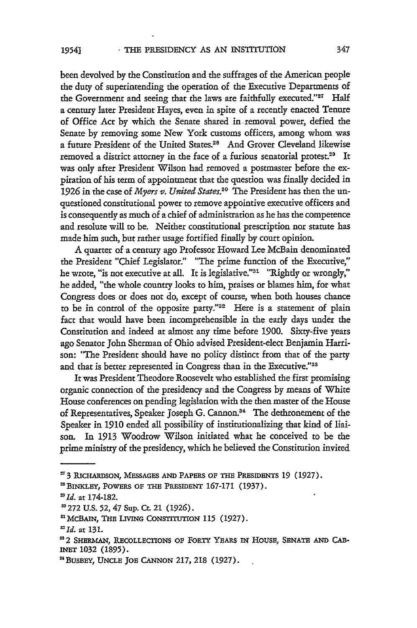been devolved by the Constitution and the suffrages of the American people the duty of superintending the operation of the Executive Departments of the Government and seeing that the laws are faithfully executed."<sup>27</sup> Half a century later President Hayes, even in spite of a recently enacted Tenure of Office Act by which the Senate shared in removal power, defied the Senate by removing some New York customs officers, among whom was a future President of the United States.<sup>28</sup> And Grover Cleveland likewise removed a district attorney in the face of a furious senatorial protest.<sup>29</sup> It was only after President Wilson had removed a postmaster before the expiration of his term of appointment that the question was finally decided in **1926** in the case of *Myers v. United States.30* The President has then the unquestioned constitutional power to remove appointive executive officers and is consequently as much of a chief of administration as he has the competence and resolute will to be. Neither constitutional prescription nor statute has made him such, but rather usage fortified finally by court opinion.

A quarter of a century ago Professor Howard Lee McBain denominated the President "Chief Legislator." "The prime function of the Executive," he wrote, "is not executive at all. It is legislative."<sup>31</sup> "Rightly or wrongly," he added, "the whole country looks to him, praises or blames him, for what Congress does or does not do, except of course, when both houses chance to be in control of the opposite party."<sup>32</sup> Here is a statement of plain fact that would have been incomprehensible in the early days under the Constitution and indeed at almost any time before 1900. Sixty-five years ago Senator John Sherman of Ohio advised President-elect Benjamin Harrison: '"The President should have no policy distinct from that of the party and that is better represented in Congress than in the Executive."33

It was President Theodore Roosevelt who established the first promising organic connection of the presidency and the Congress by means of White House conferences on pending legislation with the then master of the House of Representatives, Speaker Joseph G. Cannon.34 The dethronement of the Speaker in 1910 ended all possibility of institutionalizing that kind of liaison. In 1913 Woodrow Wilson initiated what he conceived to be the prime ministry of the presidency, which he believed the Constitution invited

<sup>&#</sup>x27; 3 RicHARDsoN, **MESSAGES AND** PAPERS **OF THE PRESDENTS** 19 (1927).

<sup>2</sup>BINKLEY, PowERS **OF THE** PREsIDENT 167-171 **(1937).**

*m'Id.* at **174-182.**

**<sup>=272</sup>** U.S. 52, 47 Sup. Ct. 21 (1926).

<sup>&</sup>lt;sup>31</sup> McBain, The Living Constitution 115 (1927).

*<sup>&#</sup>x27;Id.* at **131.**

**<sup>32</sup>** SHERMAN, **RECOLLECTIONS** OF **FORTY** YEARS **iN HOUSE, SENATE AND CAB-NET 1032 (1895).**

**<sup>14</sup>BUsBEY, UNCLE JOE CANNON 217, 218 (1927).**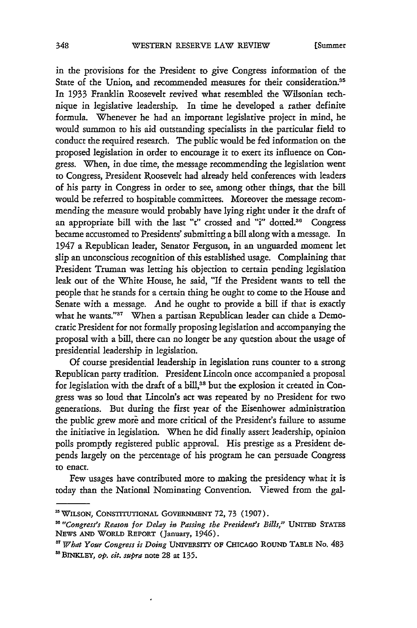[Summer

in the provisions for the President to give Congress information of the State of the Union, and recommended measures for their consideration.<sup>35</sup> In 1933 Franklin Roosevelt revived what resembled the Wilsonian technique in legislative leadership. In time he developed a rather definite formula. Whenever he had an important legislative project in mind, he would summon to his aid outstanding specialists in the particular field to conduct the required research. The public would be fed information on the proposed legislation in order to encourage it to exert its influence on Congress. When, in due time, the message recommending the legislation went to Congress, President Roosevelt had already held conferences with leaders of his party in Congress in order to see, among other things, that the bill would be referred to hospitable committees. Moreover the message recommending the measure would probably have lying right under it the draft of an appropriate bill with the last "t" crossed and "i" dotted.<sup>36</sup> Congress became accustomed to Presidents' submitting a bill along with a message. In 1947 a Republican leader, Senator Ferguson, in an unguarded moment let slip an unconscious recognition of this established usage. Complaining that President Truman was letting his objection to certain pending legislation leak out of the White House, he said, "If the President wants to tell the people that he stands for a certain thing he ought to come to the House and Senate with a message. And he ought to provide a bill if that is exactly what he wants."<sup>37</sup> When a partisan Republican leader can chide a Democratic President for not formally proposing legislation and accompanying the proposal with a bill, there can no longer be any question about the usage of presidential leadership in legislation.

**Of** course presidential leadership in legislation runs counter to a strong Republican party tradition. President Lincoln once accompanied a proposal for legislation with the draft of a bill,<sup>88</sup> but the explosion it created in Congress was so loud that Lincoln's act was repeated by no President for two generations. But during the first year of the Eisenhower administration the public grew more and more critical of the President's failure to assume the initiative in legislation. When he did finally assert leadership, opinion polls promptly registered public approval. His prestige as a President depends largely on the percentage of his program he can persuade Congress to enact.

Few usages have contributed more to making the presidency what it is today than the National Nominating Convention. Viewed from the gal-

WILSON, CONSTITUTIONAL GOVERNMENT 72, 73 (1907).

*<sup>&</sup>quot;Congress's Reason for Delay in Passing the President's Bills,"* UNITED STATES NEws **AND** WORLD **REPORT** (January, 1946).

What *Your Congress is Doing* UNIVERSITY **OF** CHICAGO ROUND TABLE No. 483 'SBINKLEY, *op. cit. supra* note 28 at 135.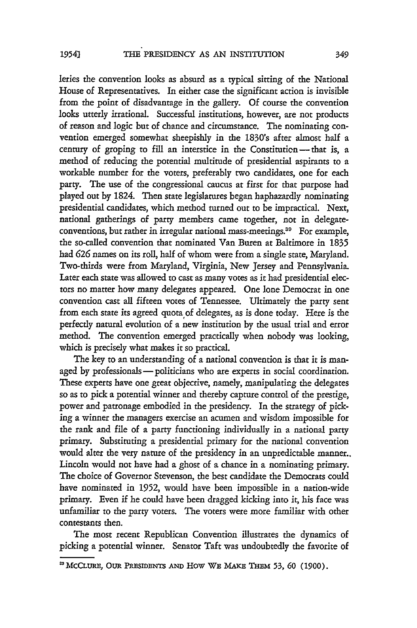leries the convention looks as absurd as a typical sitting of the National House of Representatives. In either case the significant action is invisible from the point of disadvantage in the gallery. Of course the convention looks utterly irrational. Successful institutions, however, are not products of reason and logic but of chance and circumstance. The nominating convention emerged somewhat sheepishly in the 1830's after almost half a century of groping to fill an interstice in the Constitution-that is, a method of reducing the potential multitude of presidential aspirants to a workable number for the voters, preferably two candidates, one for each party. The use of the congressional caucus at first for that purpose had played out by 1824. Then state legislatures began haphazardly nominating presidential candidates, which method turned out to be impractical. Next, national gatherings of party members came together, not in delegateconventions, but rather in irregular national mass-meetings.<sup>39</sup> For example, the so-called convention that nominated Van Buren at Baltimore in 1835 had **626** names on its roll, half of whom were from a single state, Maryland. Two-thirds were from Maryland, Virginia, New Jersey and Pennsylvania. Later each state was allowed to cast as many votes as it had presidential electors no matter how many delegates appeared. One lone Democrat in one convention cast all fifteen votes of Tennessee. Ultimately the party sent from each state its agreed quota of delegates, as is done today. Here is the perfectly natural evolution of a new institution by the usual trial and error method. The convention emerged practically when nobody was looking, which is precisely what makes it so practical.

The key to an understanding of a national convention is that it is managed by professionals - politicians who are experts in social coordination. These experts have one great objective, namely, manipulating the delegates so as to pick a potential winner and thereby capture control of the prestige, power and patronage embodied in the presidency. In the strategy of picking a winner the managers exercise an acumen and wisdom impossible for the rank and file of a party functioning individually in a national party primary. Substituting a presidential primary for the national convention would alter the very nature of the presidency in an unpredictable manner.. Lincoln would not have had a ghost of a chance in a nominating primary. The choice of Governor Stevenson, the best candidate the Democrats could have nominated in 1952, would have been impossible in a nation-wide primary. Even if he could have been dragged kicking into *it,* his face was unfamiliar to the party voters. The voters were more familiar with other contestants then.

The most recent Republican Convention illustrates the dynamics of picking a potential winner. Senator Taft was undoubtedly the favorite of

<sup>&</sup>lt;sup>29</sup> McClure, Our Presidents and How We Make Them 53, 60 (1900).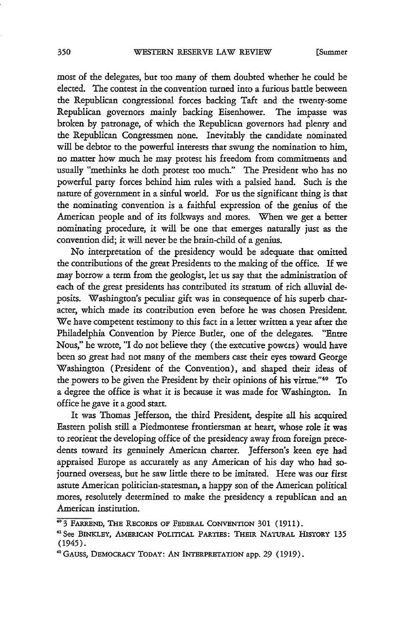most of the delegates, but too many of them doubted whether he could be elected. The contest in the convention turned into a furious battle between the Republican congressional forces backing Taft and the twenty-some Republican governors mainly backing Eisenhower. The impasse was broken by patronage, of which the Republican governors had plenty and the Republican Congressmen none. Inevitably the candidate nominated will be debtor to the powerful interests that swung the nomination to him, no matter how much he may protest his freedom from commitments and usually "methinks he doth protest too much." The President who has no powerful party forces behind him rules with a palsied hand. Such is the nature of government in a sinful world. For us the significant thing is that the nominating convention is a faithful expression of the genius of the American people and of its folkways and mores. When we get a better nominating procedure, it will be one that emerges naturally just as the convention did; it will never be the brain-child of a genius.

No interpretation of the presidency would be adequate that omitted the contributions of the great Presidents to the making of the office. If we may borrow a term from the geologist, let us say that the administration of each of the great presidents has contributed its stratum of rich alluvial deposits. Washington's peculiar gift was in consequence of his superb character, which made its contribution even before he was chosen President. We have competent testimony to this fact in a letter written a year after the Philadelphia Convention by Pierce Butler, one of the delegates. "Entre Nous," he wrote, "I do not believe they (the executive powers) would have been so great had not many of the members cast their eyes toward George Washington (President of the Convention), and shaped their ideas of the powers to be given the President by their opinions of his virtue."40 To a degree the office is what it is because it was made for Washington. In office he gave it a good start.

It was Thomas Jefferson, the third President, despite all his acquired Eastern polish still a Piedmontese frontiersman at heart, whose role it was to reorient the developing office of the presidency away from foreign precedents toward its genuinely American charter. Jefferson's keen eye had appraised Europe as accurately as any American of his day who had sojourned overseas, but he saw little there to be imitated. Here was our first astute American politician-statesman, a happy son of the American political mores, resolutely determined to make the presidency a republican and an American institution.

**3** FARREND, THE REcoRDs OF FEDERAL **CONVENTION 301** (1911).

4See BINKLEY, AMERIcAN PoLITIcAL PARTIES: THEIR **NATURAL** HISTORY **135** (1945).

4 GAuss, DEMOcRAcY TODAY: **AN** INTERPRETATION app. **29** (1919).